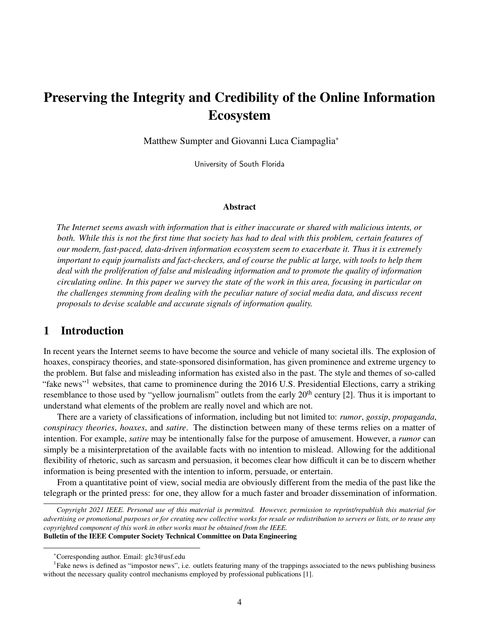# Preserving the Integrity and Credibility of the Online Information Ecosystem

Matthew Sumpter and Giovanni Luca Ciampaglia\*

University of South Florida

#### Abstract

*The Internet seems awash with information that is either inaccurate or shared with malicious intents, or both. While this is not the first time that society has had to deal with this problem, certain features of our modern, fast-paced, data-driven information ecosystem seem to exacerbate it. Thus it is extremely important to equip journalists and fact-checkers, and of course the public at large, with tools to help them deal with the proliferation of false and misleading information and to promote the quality of information circulating online. In this paper we survey the state of the work in this area, focusing in particular on the challenges stemming from dealing with the peculiar nature of social media data, and discuss recent proposals to devise scalable and accurate signals of information quality.*

### 1 Introduction

In recent years the Internet seems to have become the source and vehicle of many societal ills. The explosion of hoaxes, conspiracy theories, and state-sponsored disinformation, has given prominence and extreme urgency to the problem. But false and misleading information has existed also in the past. The style and themes of so-called "fake news"<sup>1</sup> websites, that came to prominence during the 2016 U.S. Presidential Elections, carry a striking resemblance to those used by "yellow journalism" outlets from the early 20<sup>th</sup> century [2]. Thus it is important to understand what elements of the problem are really novel and which are not.

There are a variety of classifications of information, including but not limited to: *rumor*, *gossip*, *propaganda*, *conspiracy theories*, *hoaxes*, and *satire*. The distinction between many of these terms relies on a matter of intention. For example, *satire* may be intentionally false for the purpose of amusement. However, a *rumor* can simply be a misinterpretation of the available facts with no intention to mislead. Allowing for the additional flexibility of rhetoric, such as sarcasm and persuasion, it becomes clear how difficult it can be to discern whether information is being presented with the intention to inform, persuade, or entertain.

From a quantitative point of view, social media are obviously different from the media of the past like the telegraph or the printed press: for one, they allow for a much faster and broader dissemination of information.

*Copyright 2021 IEEE. Personal use of this material is permitted. However, permission to reprint/republish this material for advertising or promotional purposes or for creating new collective works for resale or redistribution to servers or lists, or to reuse any copyrighted component of this work in other works must be obtained from the IEEE.* Bulletin of the IEEE Computer Society Technical Committee on Data Engineering

<sup>\*</sup>Corresponding author. Email: glc3@usf.edu

<sup>&</sup>lt;sup>1</sup>Fake news is defined as "impostor news", i.e. outlets featuring many of the trappings associated to the news publishing business without the necessary quality control mechanisms employed by professional publications [1].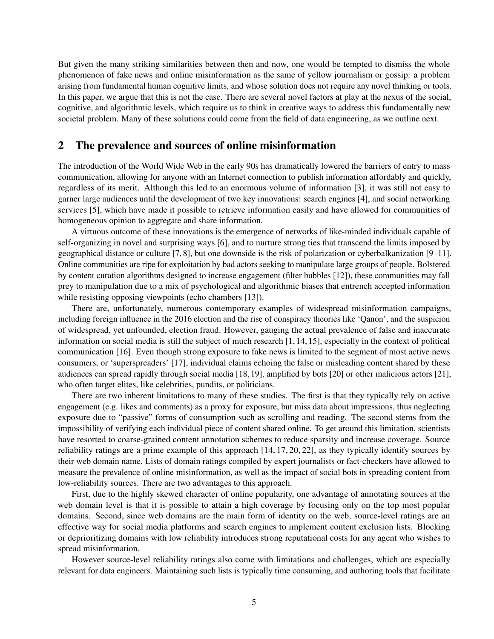But given the many striking similarities between then and now, one would be tempted to dismiss the whole phenomenon of fake news and online misinformation as the same of yellow journalism or gossip: a problem arising from fundamental human cognitive limits, and whose solution does not require any novel thinking or tools. In this paper, we argue that this is not the case. There are several novel factors at play at the nexus of the social, cognitive, and algorithmic levels, which require us to think in creative ways to address this fundamentally new societal problem. Many of these solutions could come from the field of data engineering, as we outline next.

### 2 The prevalence and sources of online misinformation

The introduction of the World Wide Web in the early 90s has dramatically lowered the barriers of entry to mass communication, allowing for anyone with an Internet connection to publish information affordably and quickly, regardless of its merit. Although this led to an enormous volume of information [3], it was still not easy to garner large audiences until the development of two key innovations: search engines [4], and social networking services [5], which have made it possible to retrieve information easily and have allowed for communities of homogeneous opinion to aggregate and share information.

A virtuous outcome of these innovations is the emergence of networks of like-minded individuals capable of self-organizing in novel and surprising ways [6], and to nurture strong ties that transcend the limits imposed by geographical distance or culture [7, 8], but one downside is the risk of polarization or cyberbalkanization [9–11]. Online communities are ripe for exploitation by bad actors seeking to manipulate large groups of people. Bolstered by content curation algorithms designed to increase engagement (filter bubbles [12]), these communities may fall prey to manipulation due to a mix of psychological and algorithmic biases that entrench accepted information while resisting opposing viewpoints (echo chambers [13]).

There are, unfortunately, numerous contemporary examples of widespread misinformation campaigns, including foreign influence in the 2016 election and the rise of conspiracy theories like 'Qanon', and the suspicion of widespread, yet unfounded, election fraud. However, gauging the actual prevalence of false and inaccurate information on social media is still the subject of much research [1, 14, 15], especially in the context of political communication [16]. Even though strong exposure to fake news is limited to the segment of most active news consumers, or 'superspreaders' [17], individual claims echoing the false or misleading content shared by these audiences can spread rapidly through social media [18, 19], amplified by bots [20] or other malicious actors [21], who often target elites, like celebrities, pundits, or politicians.

There are two inherent limitations to many of these studies. The first is that they typically rely on active engagement (e.g. likes and comments) as a proxy for exposure, but miss data about impressions, thus neglecting exposure due to "passive" forms of consumption such as scrolling and reading. The second stems from the impossibility of verifying each individual piece of content shared online. To get around this limitation, scientists have resorted to coarse-grained content annotation schemes to reduce sparsity and increase coverage. Source reliability ratings are a prime example of this approach [14, 17, 20, 22], as they typically identify sources by their web domain name. Lists of domain ratings compiled by expert journalists or fact-checkers have allowed to measure the prevalence of online misinformation, as well as the impact of social bots in spreading content from low-reliability sources. There are two advantages to this approach.

First, due to the highly skewed character of online popularity, one advantage of annotating sources at the web domain level is that it is possible to attain a high coverage by focusing only on the top most popular domains. Second, since web domains are the main form of identity on the web, source-level ratings are an effective way for social media platforms and search engines to implement content exclusion lists. Blocking or deprioritizing domains with low reliability introduces strong reputational costs for any agent who wishes to spread misinformation.

However source-level reliability ratings also come with limitations and challenges, which are especially relevant for data engineers. Maintaining such lists is typically time consuming, and authoring tools that facilitate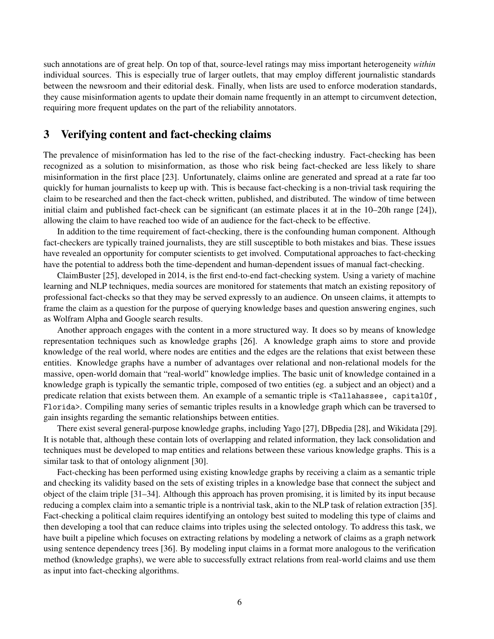such annotations are of great help. On top of that, source-level ratings may miss important heterogeneity *within* individual sources. This is especially true of larger outlets, that may employ different journalistic standards between the newsroom and their editorial desk. Finally, when lists are used to enforce moderation standards, they cause misinformation agents to update their domain name frequently in an attempt to circumvent detection, requiring more frequent updates on the part of the reliability annotators.

# 3 Verifying content and fact-checking claims

The prevalence of misinformation has led to the rise of the fact-checking industry. Fact-checking has been recognized as a solution to misinformation, as those who risk being fact-checked are less likely to share misinformation in the first place [23]. Unfortunately, claims online are generated and spread at a rate far too quickly for human journalists to keep up with. This is because fact-checking is a non-trivial task requiring the claim to be researched and then the fact-check written, published, and distributed. The window of time between initial claim and published fact-check can be significant (an estimate places it at in the 10–20h range [24]), allowing the claim to have reached too wide of an audience for the fact-check to be effective.

In addition to the time requirement of fact-checking, there is the confounding human component. Although fact-checkers are typically trained journalists, they are still susceptible to both mistakes and bias. These issues have revealed an opportunity for computer scientists to get involved. Computational approaches to fact-checking have the potential to address both the time-dependent and human-dependent issues of manual fact-checking.

ClaimBuster [25], developed in 2014, is the first end-to-end fact-checking system. Using a variety of machine learning and NLP techniques, media sources are monitored for statements that match an existing repository of professional fact-checks so that they may be served expressly to an audience. On unseen claims, it attempts to frame the claim as a question for the purpose of querying knowledge bases and question answering engines, such as Wolfram Alpha and Google search results.

Another approach engages with the content in a more structured way. It does so by means of knowledge representation techniques such as knowledge graphs [26]. A knowledge graph aims to store and provide knowledge of the real world, where nodes are entities and the edges are the relations that exist between these entities. Knowledge graphs have a number of advantages over relational and non-relational models for the massive, open-world domain that "real-world" knowledge implies. The basic unit of knowledge contained in a knowledge graph is typically the semantic triple, composed of two entities (eg. a subject and an object) and a predicate relation that exists between them. An example of a semantic triple is <Tallahassee, capitalOf, Florida>. Compiling many series of semantic triples results in a knowledge graph which can be traversed to gain insights regarding the semantic relationships between entities.

There exist several general-purpose knowledge graphs, including Yago [27], DBpedia [28], and Wikidata [29]. It is notable that, although these contain lots of overlapping and related information, they lack consolidation and techniques must be developed to map entities and relations between these various knowledge graphs. This is a similar task to that of ontology alignment [30].

Fact-checking has been performed using existing knowledge graphs by receiving a claim as a semantic triple and checking its validity based on the sets of existing triples in a knowledge base that connect the subject and object of the claim triple [31–34]. Although this approach has proven promising, it is limited by its input because reducing a complex claim into a semantic triple is a nontrivial task, akin to the NLP task of relation extraction [35]. Fact-checking a political claim requires identifying an ontology best suited to modeling this type of claims and then developing a tool that can reduce claims into triples using the selected ontology. To address this task, we have built a pipeline which focuses on extracting relations by modeling a network of claims as a graph network using sentence dependency trees [36]. By modeling input claims in a format more analogous to the verification method (knowledge graphs), we were able to successfully extract relations from real-world claims and use them as input into fact-checking algorithms.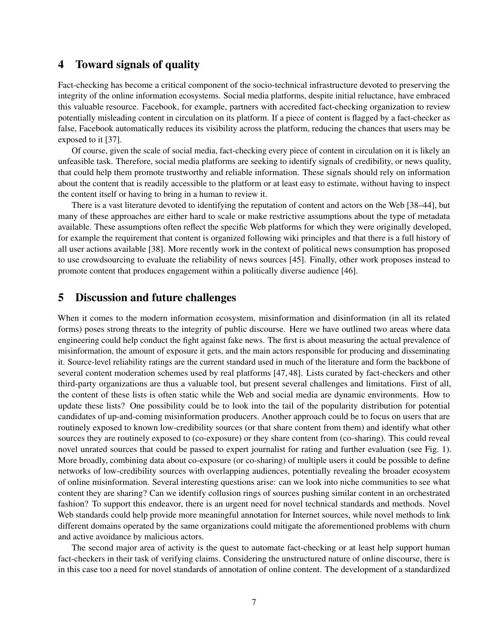### 4 Toward signals of quality

Fact-checking has become a critical component of the socio-technical infrastructure devoted to preserving the integrity of the online information ecosystems. Social media platforms, despite initial reluctance, have embraced this valuable resource. Facebook, for example, partners with accredited fact-checking organization to review potentially misleading content in circulation on its platform. If a piece of content is flagged by a fact-checker as false, Facebook automatically reduces its visibility across the platform, reducing the chances that users may be exposed to it [37].

Of course, given the scale of social media, fact-checking every piece of content in circulation on it is likely an unfeasible task. Therefore, social media platforms are seeking to identify signals of credibility, or news quality, that could help them promote trustworthy and reliable information. These signals should rely on information about the content that is readily accessible to the platform or at least easy to estimate, without having to inspect the content itself or having to bring in a human to review it.

There is a vast literature devoted to identifying the reputation of content and actors on the Web [38–44], but many of these approaches are either hard to scale or make restrictive assumptions about the type of metadata available. These assumptions often reflect the specific Web platforms for which they were originally developed, for example the requirement that content is organized following wiki principles and that there is a full history of all user actions available [38]. More recently work in the context of political news consumption has proposed to use crowdsourcing to evaluate the reliability of news sources [45]. Finally, other work proposes instead to promote content that produces engagement within a politically diverse audience [46].

## 5 Discussion and future challenges

When it comes to the modern information ecosystem, misinformation and disinformation (in all its related forms) poses strong threats to the integrity of public discourse. Here we have outlined two areas where data engineering could help conduct the fight against fake news. The first is about measuring the actual prevalence of misinformation, the amount of exposure it gets, and the main actors responsible for producing and disseminating it. Source-level reliability ratings are the current standard used in much of the literature and form the backbone of several content moderation schemes used by real platforms [47, 48]. Lists curated by fact-checkers and other third-party organizations are thus a valuable tool, but present several challenges and limitations. First of all, the content of these lists is often static while the Web and social media are dynamic environments. How to update these lists? One possibility could be to look into the tail of the popularity distribution for potential candidates of up-and-coming misinformation producers. Another approach could be to focus on users that are routinely exposed to known low-credibility sources (or that share content from them) and identify what other sources they are routinely exposed to (co-exposure) or they share content from (co-sharing). This could reveal novel unrated sources that could be passed to expert journalist for rating and further evaluation (see Fig. 1). More broadly, combining data about co-exposure (or co-sharing) of multiple users it could be possible to define networks of low-credibility sources with overlapping audiences, potentially revealing the broader ecosystem of online misinformation. Several interesting questions arise: can we look into niche communities to see what content they are sharing? Can we identify collusion rings of sources pushing similar content in an orchestrated fashion? To support this endeavor, there is an urgent need for novel technical standards and methods. Novel Web standards could help provide more meaningful annotation for Internet sources, while novel methods to link different domains operated by the same organizations could mitigate the aforementioned problems with churn and active avoidance by malicious actors.

The second major area of activity is the quest to automate fact-checking or at least help support human fact-checkers in their task of verifying claims. Considering the unstructured nature of online discourse, there is in this case too a need for novel standards of annotation of online content. The development of a standardized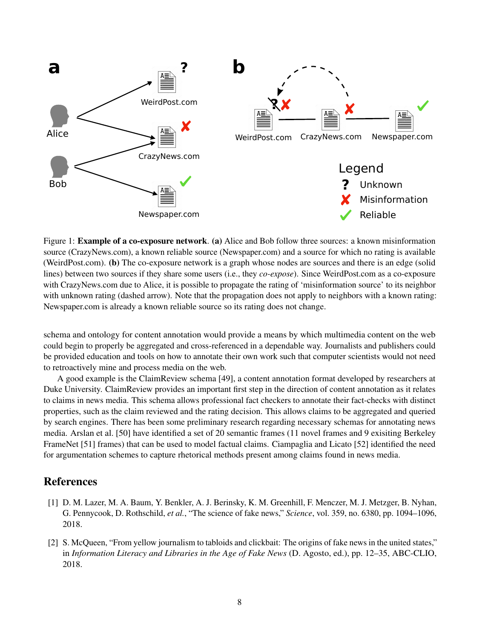

Figure 1: Example of a co-exposure network. (a) Alice and Bob follow three sources: a known misinformation source (CrazyNews.com), a known reliable source (Newspaper.com) and a source for which no rating is available (WeirdPost.com). (b) The co-exposure network is a graph whose nodes are sources and there is an edge (solid lines) between two sources if they share some users (i.e., they *co-expose*). Since WeirdPost.com as a co-exposure with CrazyNews.com due to Alice, it is possible to propagate the rating of 'misinformation source' to its neighbor with unknown rating (dashed arrow). Note that the propagation does not apply to neighbors with a known rating: Newspaper.com is already a known reliable source so its rating does not change.

schema and ontology for content annotation would provide a means by which multimedia content on the web could begin to properly be aggregated and cross-referenced in a dependable way. Journalists and publishers could be provided education and tools on how to annotate their own work such that computer scientists would not need to retroactively mine and process media on the web.

A good example is the ClaimReview schema [49], a content annotation format developed by researchers at Duke University. ClaimReview provides an important first step in the direction of content annotation as it relates to claims in news media. This schema allows professional fact checkers to annotate their fact-checks with distinct properties, such as the claim reviewed and the rating decision. This allows claims to be aggregated and queried by search engines. There has been some preliminary research regarding necessary schemas for annotating news media. Arslan et al. [50] have identified a set of 20 semantic frames (11 novel frames and 9 exisiting Berkeley FrameNet [51] frames) that can be used to model factual claims. Ciampaglia and Licato [52] identified the need for argumentation schemes to capture rhetorical methods present among claims found in news media.

# References

- [1] D. M. Lazer, M. A. Baum, Y. Benkler, A. J. Berinsky, K. M. Greenhill, F. Menczer, M. J. Metzger, B. Nyhan, G. Pennycook, D. Rothschild, *et al.*, "The science of fake news," *Science*, vol. 359, no. 6380, pp. 1094–1096, 2018.
- [2] S. McQueen, "From yellow journalism to tabloids and clickbait: The origins of fake news in the united states," in *Information Literacy and Libraries in the Age of Fake News* (D. Agosto, ed.), pp. 12–35, ABC-CLIO, 2018.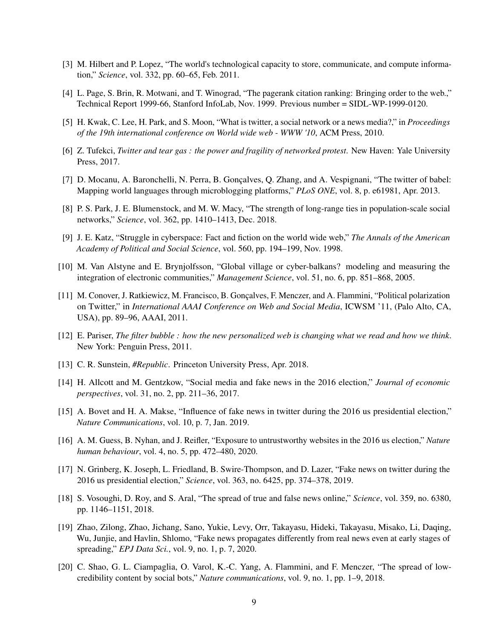- [3] M. Hilbert and P. Lopez, "The world's technological capacity to store, communicate, and compute information," *Science*, vol. 332, pp. 60–65, Feb. 2011.
- [4] L. Page, S. Brin, R. Motwani, and T. Winograd, "The pagerank citation ranking: Bringing order to the web.," Technical Report 1999-66, Stanford InfoLab, Nov. 1999. Previous number = SIDL-WP-1999-0120.
- [5] H. Kwak, C. Lee, H. Park, and S. Moon, "What is twitter, a social network or a news media?," in *Proceedings of the 19th international conference on World wide web - WWW '10*, ACM Press, 2010.
- [6] Z. Tufekci, *Twitter and tear gas : the power and fragility of networked protest*. New Haven: Yale University Press, 2017.
- [7] D. Mocanu, A. Baronchelli, N. Perra, B. Gonçalves, Q. Zhang, and A. Vespignani, "The twitter of babel: Mapping world languages through microblogging platforms," *PLoS ONE*, vol. 8, p. e61981, Apr. 2013.
- [8] P. S. Park, J. E. Blumenstock, and M. W. Macy, "The strength of long-range ties in population-scale social networks," *Science*, vol. 362, pp. 1410–1413, Dec. 2018.
- [9] J. E. Katz, "Struggle in cyberspace: Fact and fiction on the world wide web," *The Annals of the American Academy of Political and Social Science*, vol. 560, pp. 194–199, Nov. 1998.
- [10] M. Van Alstyne and E. Brynjolfsson, "Global village or cyber-balkans? modeling and measuring the integration of electronic communities," *Management Science*, vol. 51, no. 6, pp. 851–868, 2005.
- [11] M. Conover, J. Ratkiewicz, M. Francisco, B. Gonçalves, F. Menczer, and A. Flammini, "Political polarization on Twitter," in *International AAAI Conference on Web and Social Media*, ICWSM '11, (Palo Alto, CA, USA), pp. 89–96, AAAI, 2011.
- [12] E. Pariser, *The filter bubble : how the new personalized web is changing what we read and how we think*. New York: Penguin Press, 2011.
- [13] C. R. Sunstein, #Republic. Princeton University Press, Apr. 2018.
- [14] H. Allcott and M. Gentzkow, "Social media and fake news in the 2016 election," *Journal of economic perspectives*, vol. 31, no. 2, pp. 211–36, 2017.
- [15] A. Bovet and H. A. Makse, "Influence of fake news in twitter during the 2016 us presidential election," *Nature Communications*, vol. 10, p. 7, Jan. 2019.
- [16] A. M. Guess, B. Nyhan, and J. Reifler, "Exposure to untrustworthy websites in the 2016 us election," *Nature human behaviour*, vol. 4, no. 5, pp. 472–480, 2020.
- [17] N. Grinberg, K. Joseph, L. Friedland, B. Swire-Thompson, and D. Lazer, "Fake news on twitter during the 2016 us presidential election," *Science*, vol. 363, no. 6425, pp. 374–378, 2019.
- [18] S. Vosoughi, D. Roy, and S. Aral, "The spread of true and false news online," *Science*, vol. 359, no. 6380, pp. 1146–1151, 2018.
- [19] Zhao, Zilong, Zhao, Jichang, Sano, Yukie, Levy, Orr, Takayasu, Hideki, Takayasu, Misako, Li, Daqing, Wu, Junjie, and Havlin, Shlomo, "Fake news propagates differently from real news even at early stages of spreading," *EPJ Data Sci.*, vol. 9, no. 1, p. 7, 2020.
- [20] C. Shao, G. L. Ciampaglia, O. Varol, K.-C. Yang, A. Flammini, and F. Menczer, "The spread of lowcredibility content by social bots," *Nature communications*, vol. 9, no. 1, pp. 1–9, 2018.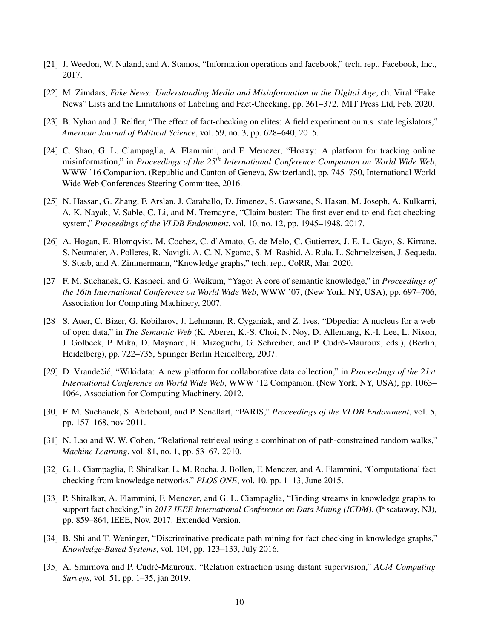- [21] J. Weedon, W. Nuland, and A. Stamos, "Information operations and facebook," tech. rep., Facebook, Inc., 2017.
- [22] M. Zimdars, *Fake News: Understanding Media and Misinformation in the Digital Age*, ch. Viral "Fake News" Lists and the Limitations of Labeling and Fact-Checking, pp. 361–372. MIT Press Ltd, Feb. 2020.
- [23] B. Nyhan and J. Reifler, "The effect of fact-checking on elites: A field experiment on u.s. state legislators," *American Journal of Political Science*, vol. 59, no. 3, pp. 628–640, 2015.
- [24] C. Shao, G. L. Ciampaglia, A. Flammini, and F. Menczer, "Hoaxy: A platform for tracking online misinformation," in *Proceedings of the 25th International Conference Companion on World Wide Web*, WWW '16 Companion, (Republic and Canton of Geneva, Switzerland), pp. 745–750, International World Wide Web Conferences Steering Committee, 2016.
- [25] N. Hassan, G. Zhang, F. Arslan, J. Caraballo, D. Jimenez, S. Gawsane, S. Hasan, M. Joseph, A. Kulkarni, A. K. Nayak, V. Sable, C. Li, and M. Tremayne, "Claim buster: The first ever end-to-end fact checking system," *Proceedings of the VLDB Endowment*, vol. 10, no. 12, pp. 1945–1948, 2017.
- [26] A. Hogan, E. Blomqvist, M. Cochez, C. d'Amato, G. de Melo, C. Gutierrez, J. E. L. Gayo, S. Kirrane, S. Neumaier, A. Polleres, R. Navigli, A.-C. N. Ngomo, S. M. Rashid, A. Rula, L. Schmelzeisen, J. Sequeda, S. Staab, and A. Zimmermann, "Knowledge graphs," tech. rep., CoRR, Mar. 2020.
- [27] F. M. Suchanek, G. Kasneci, and G. Weikum, "Yago: A core of semantic knowledge," in *Proceedings of the 16th International Conference on World Wide Web*, WWW '07, (New York, NY, USA), pp. 697–706, Association for Computing Machinery, 2007.
- [28] S. Auer, C. Bizer, G. Kobilarov, J. Lehmann, R. Cyganiak, and Z. Ives, "Dbpedia: A nucleus for a web of open data," in *The Semantic Web* (K. Aberer, K.-S. Choi, N. Noy, D. Allemang, K.-I. Lee, L. Nixon, J. Golbeck, P. Mika, D. Maynard, R. Mizoguchi, G. Schreiber, and P. Cudré-Mauroux, eds.), (Berlin, Heidelberg), pp. 722–735, Springer Berlin Heidelberg, 2007.
- [29] D. Vrandečić, "Wikidata: A new platform for collaborative data collection," in *Proceedings of the 21st International Conference on World Wide Web*, WWW '12 Companion, (New York, NY, USA), pp. 1063– 1064, Association for Computing Machinery, 2012.
- [30] F. M. Suchanek, S. Abiteboul, and P. Senellart, "PARIS," *Proceedings of the VLDB Endowment*, vol. 5, pp. 157–168, nov 2011.
- [31] N. Lao and W. W. Cohen, "Relational retrieval using a combination of path-constrained random walks," *Machine Learning*, vol. 81, no. 1, pp. 53–67, 2010.
- [32] G. L. Ciampaglia, P. Shiralkar, L. M. Rocha, J. Bollen, F. Menczer, and A. Flammini, "Computational fact checking from knowledge networks," *PLOS ONE*, vol. 10, pp. 1–13, June 2015.
- [33] P. Shiralkar, A. Flammini, F. Menczer, and G. L. Ciampaglia, "Finding streams in knowledge graphs to support fact checking," in *2017 IEEE International Conference on Data Mining (ICDM)*, (Piscataway, NJ), pp. 859–864, IEEE, Nov. 2017. Extended Version.
- [34] B. Shi and T. Weninger, "Discriminative predicate path mining for fact checking in knowledge graphs," *Knowledge-Based Systems*, vol. 104, pp. 123–133, July 2016.
- [35] A. Smirnova and P. Cudré-Mauroux, "Relation extraction using distant supervision," *ACM Computing Surveys*, vol. 51, pp. 1–35, jan 2019.